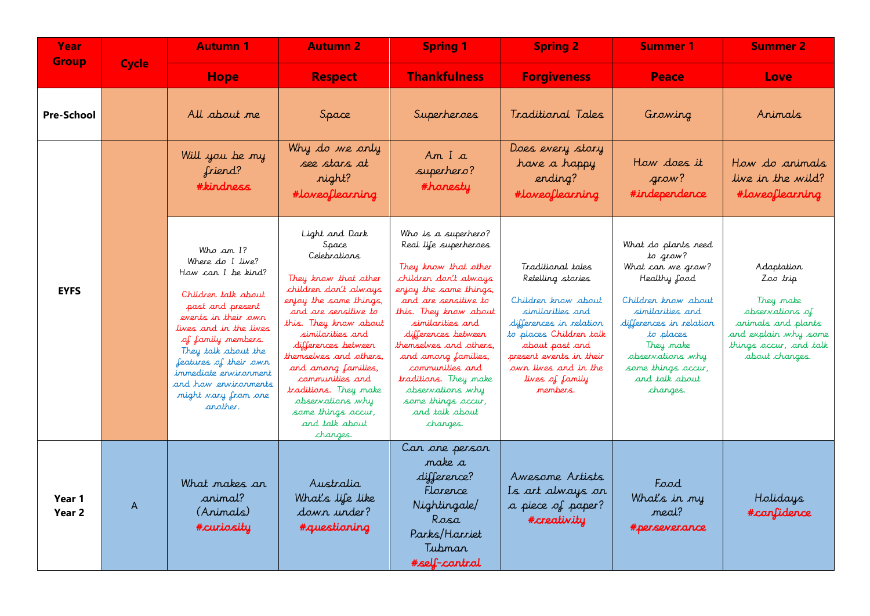| <b>Year</b><br><b>Group</b> | <b>Cycle</b> | <b>Autumn 1</b>                                                                                                                                                                                                                                                                                           | <b>Autumn 2</b>                                                                                                                                                                                                                                                                                                                                                                     | <b>Spring 1</b>                                                                                                                                                                                                                                                                                                                                                                          | <b>Spring 2</b>                                                                                                                                                                                                                             | <b>Summer 1</b>                                                                                                                                                                                                                              | <b>Summer 2</b>                                                                                                                                  |
|-----------------------------|--------------|-----------------------------------------------------------------------------------------------------------------------------------------------------------------------------------------------------------------------------------------------------------------------------------------------------------|-------------------------------------------------------------------------------------------------------------------------------------------------------------------------------------------------------------------------------------------------------------------------------------------------------------------------------------------------------------------------------------|------------------------------------------------------------------------------------------------------------------------------------------------------------------------------------------------------------------------------------------------------------------------------------------------------------------------------------------------------------------------------------------|---------------------------------------------------------------------------------------------------------------------------------------------------------------------------------------------------------------------------------------------|----------------------------------------------------------------------------------------------------------------------------------------------------------------------------------------------------------------------------------------------|--------------------------------------------------------------------------------------------------------------------------------------------------|
|                             |              | <b>Hope</b>                                                                                                                                                                                                                                                                                               | <b>Respect</b>                                                                                                                                                                                                                                                                                                                                                                      | <b>Thankfulness</b>                                                                                                                                                                                                                                                                                                                                                                      | <b>Forgiveness</b>                                                                                                                                                                                                                          | Peace                                                                                                                                                                                                                                        | Love                                                                                                                                             |
| <b>Pre-School</b>           |              | All about me                                                                                                                                                                                                                                                                                              | Space                                                                                                                                                                                                                                                                                                                                                                               | Superheroes                                                                                                                                                                                                                                                                                                                                                                              | Traditional Tales                                                                                                                                                                                                                           | Growing                                                                                                                                                                                                                                      | Animals                                                                                                                                          |
| <b>EYFS</b>                 |              | Will you be my<br>friend?<br><b>#kindness</b>                                                                                                                                                                                                                                                             | Why do we only<br>see stars at<br>night?<br>#loveoflearning                                                                                                                                                                                                                                                                                                                         | Am I a<br>superhero?<br>#honesty                                                                                                                                                                                                                                                                                                                                                         | Does every story<br>have a happy<br>ending?<br>#loveoflearning                                                                                                                                                                              | How does it<br>araw?<br>#independence                                                                                                                                                                                                        | How do animals<br>live in the wild?<br>#loveoflearning                                                                                           |
|                             |              | Who am I?<br>Where do I live?<br>How can I be kind?<br>Children talk about<br>past and present<br>events in their own<br>lives and in the lives<br>of family members.<br>They talk about the<br>features of their own<br>immediate ervirorment<br>and how ervironments<br>might vary from one<br>another. | Light and Dark<br>Space<br>Celebrations<br>They know that other<br>children don't always<br>enjoy the same things,<br>and are sensitive to<br>this. They know about<br>similarities and<br>differences between<br>themselves and others,<br>and among families,<br>communities and<br>traditions. They make<br>observations why<br>some things occur,<br>and talk about<br>changes. | Who is a superhero?<br>Real life superheroes<br>They know that other<br>children don't always<br>enjoy the same things,<br>and are sensitive to<br>this. They know about<br>similarities and<br>differences between<br>themselves and others,<br>and among families,<br>communities and<br>traditions. They make<br>observations why<br>some things occur,<br>and talk about<br>changes. | Traditional tales<br>Retelling stories<br>Children know about<br>similarities and<br>differences in relation<br>to places Children talk<br>about past and<br>present events in their<br>own lives and in the<br>lives of family<br>members. | What do plants need<br>to grow?<br>What can we grow?<br>Healthy food<br>Children know about<br>similarities and<br>differences in relation<br>to places<br>They make<br>observations why<br>some things occur,<br>and talk about<br>changes. | Adaptation<br>Zoo trip<br>They make<br>abservations of<br>animals and plants<br>and explain why some<br>things occur, and talk<br>about changes. |
| Year 1<br>Year 2            | A            | What makes an<br>animal?<br>(Animals)<br>#curiosity                                                                                                                                                                                                                                                       | Australia<br>What's life like<br>down under?<br>#questioning                                                                                                                                                                                                                                                                                                                        | Can one person<br>make a<br>difference?<br>Florence<br>Nightingale/<br>Rosa<br>Parks/Harriet<br>Tubman<br>#self-cantral                                                                                                                                                                                                                                                                  | Awesome Artists<br>Is art always on<br>a piece of paper?<br>#creativity                                                                                                                                                                     | Food<br>What's in my<br>meal?<br>#perseverance                                                                                                                                                                                               | Holidays<br>#confidence                                                                                                                          |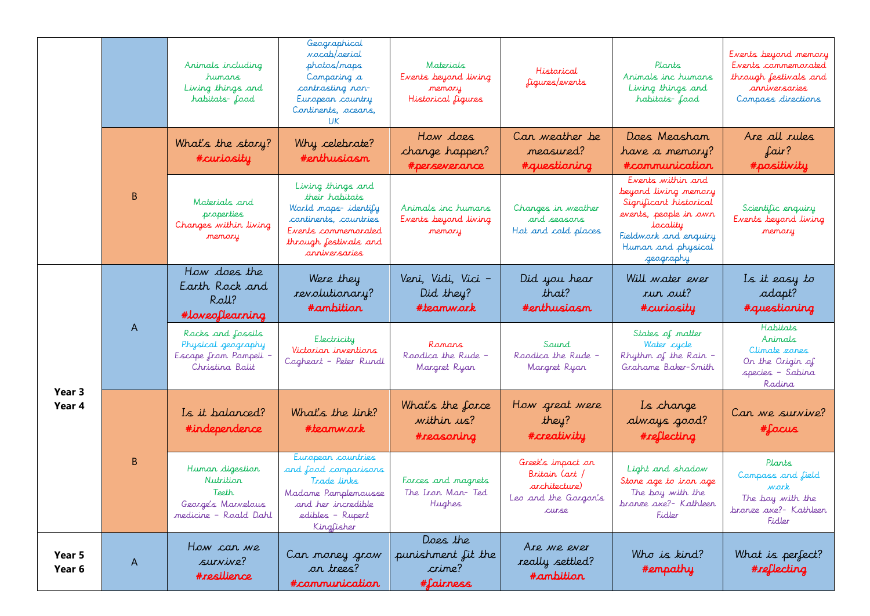|                  |        | Animals including<br>humars<br>Living things and<br>habitats-food                    | Geographical<br><i>vocab/aerial</i><br>photos/maps<br>Comparing a<br>contrasting non-<br>European country<br>Continents, oceans,<br>UK.              | Materials<br>Events beyond living<br>memory<br>Historical figures | Historical<br>figures/events                                                                | Plants<br>Animals inc humans<br>Living things and<br>habitats-food                                                                                                   | Events beyond memory<br>Events commemorated<br>through festivals and<br>anniversaries<br>Compass directions |
|------------------|--------|--------------------------------------------------------------------------------------|------------------------------------------------------------------------------------------------------------------------------------------------------|-------------------------------------------------------------------|---------------------------------------------------------------------------------------------|----------------------------------------------------------------------------------------------------------------------------------------------------------------------|-------------------------------------------------------------------------------------------------------------|
|                  |        | What's the story?<br>#curiosity                                                      | Why celebrate?<br>#enthusiasm                                                                                                                        | How does<br>change happen?<br>#perseverance                       | Can weather be<br>measured?<br>#questioning                                                 | Does Measham<br>have a memory?<br>#communication                                                                                                                     | Are all rules<br>fair?<br>#positivity                                                                       |
|                  | B      | Materials and<br>properties<br>Changes within living<br>memory                       | Living things and<br>their habitats<br>World maps-identify<br>continents, countries<br>Events commemorated<br>through festivals and<br>arriversaries | Animals inc humans<br>Events beyond living<br>nemory              | Changes in weather<br>and seasons<br>Hot and cold places                                    | Events within and<br>beyond living memory<br>Significant historical<br>events, people in own<br>locality<br>Fieldwork and enquiry<br>Human and physical<br>geography | Scientific enquiry<br>Events beyond living<br>memory                                                        |
| Year 3<br>Year 4 | A<br>B | How does the<br>Earth Rock and<br>Roll?<br>#loveoflearning                           | Were they<br>revolutionary?<br>#ambition                                                                                                             | Veni, Vidi, Vici -<br>Did they?<br>#teamwork                      | Did you hear<br>that?<br>#erthusiasm                                                        | Will water ever<br>run out?<br>#curiosity                                                                                                                            | Is it easy to<br>adapt?<br>#questioning                                                                     |
|                  |        | Rocks and fossils<br>Physical geography<br>Escape from Pompeii<br>Christina Balit    | Electricity<br>Victorian inventions<br>Cogheart - Peter Rundl                                                                                        | Ranars<br>Roodica the Rude -<br>Margret Ryan                      | Saurd<br>Roodica the Rude -<br>Margret Ryan                                                 | States of matter<br>Water cycle<br>Rhythm of the Rain -<br>Grahame Baker-Smith                                                                                       | Habitats<br>Arimals<br>Climate zones<br>On the Origin of<br>species - Sabina<br>Radina                      |
|                  |        | Is it balanced?<br>#independence                                                     | What's the link?<br>#teamwark                                                                                                                        | What's the force<br>within us?<br>#reasoning                      | How great were<br>they?<br>#creativity                                                      | Is change<br>always good?<br>#reflecting                                                                                                                             | Can we survive?<br>#focus                                                                                   |
|                  |        | Human digestion<br>Nutrition<br>Teeth<br>George's Marvelous<br>medicine - Roald Dahl | European countries<br>and food comparisons<br>Trade links<br>Madame Pamplemousse<br>and her incredible<br>edibles - Rupert<br>Kingfisher             | Forces and magnets<br>The Iron Man-Ted<br>Hughes                  | Greek's impact on<br>Britain (art)<br>architecture)<br>Leo and the Gorgon's<br><b>CULSE</b> | Light and shadow<br>Stone age to iron age<br>The boy with the<br>bronze axe?- Kathleen<br>Fidler                                                                     | Plants<br>Compass and field<br>work<br>The boy with the<br>bronze axe?- Kathleen<br>Fidler                  |
| Year 5<br>Year 6 | A      | How can we<br>survive?<br>#resilience                                                | Can money grow<br>on trees?<br>#communication                                                                                                        | Does the<br>punishment fit the<br>crime?<br>#fairness             | Are we ever<br>really settled?<br>#ambitiar                                                 | Who is kind?<br>#empathy                                                                                                                                             | What is perfect?<br>#reflecting                                                                             |